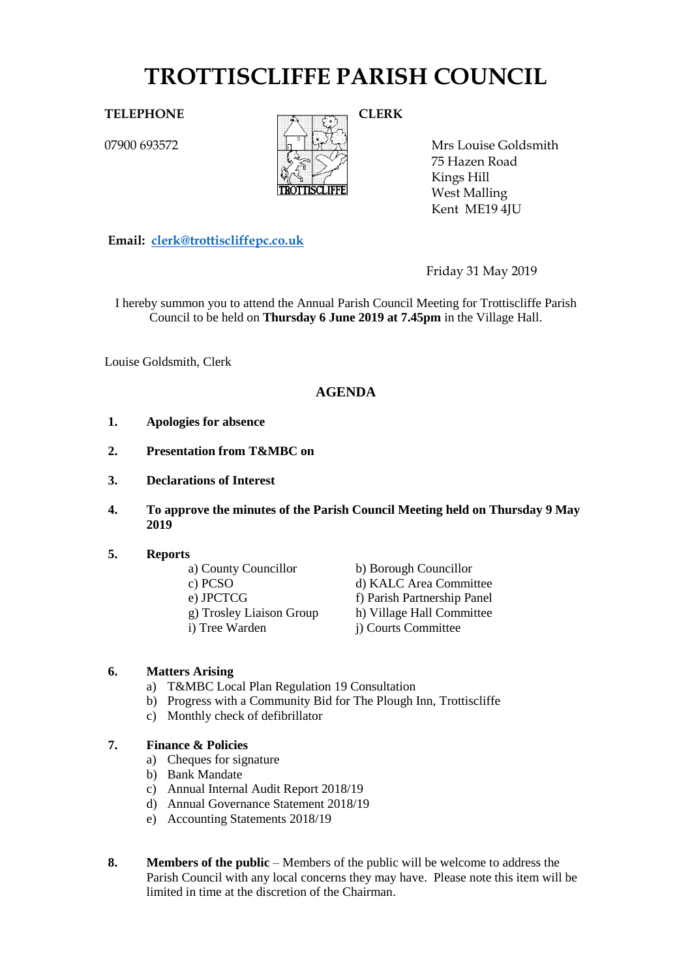# **TROTTISCLIFFE PARISH COUNCIL**

07900 693572



Mrs Louise Goldsmith 75 Hazen Road Kings Hill West Malling Kent ME19 4JU

**Email: [clerk@trottiscliffepc.co.uk](mailto:clerk@trottiscliffepc.co.uk)**

Friday 31 May 2019

I hereby summon you to attend the Annual Parish Council Meeting for Trottiscliffe Parish Council to be held on **Thursday 6 June 2019 at 7.45pm** in the Village Hall.

Louise Goldsmith, Clerk

# **AGENDA**

- **1. Apologies for absence**
- **2. Presentation from T&MBC on**
- **3. Declarations of Interest**
- **4. To approve the minutes of the Parish Council Meeting held on Thursday 9 May 2019**

#### **5. Reports**

a) County Councillor b) Borough Councillor c) PCSO d) KALC Area Committee e) JPCTCG f) Parish Partnership Panel g) Trosley Liaison Group h) Village Hall Committee i) Tree Warden j) Courts Committee

# **6. Matters Arising**

- a) T&MBC Local Plan Regulation 19 Consultation
- b) Progress with a Community Bid for The Plough Inn, Trottiscliffe
- c) Monthly check of defibrillator

# **7. Finance & Policies**

- a) Cheques for signature
- b) Bank Mandate
- c) Annual Internal Audit Report 2018/19
- d) Annual Governance Statement 2018/19
- e) Accounting Statements 2018/19
- **8. Members of the public** Members of the public will be welcome to address the Parish Council with any local concerns they may have. Please note this item will be limited in time at the discretion of the Chairman.